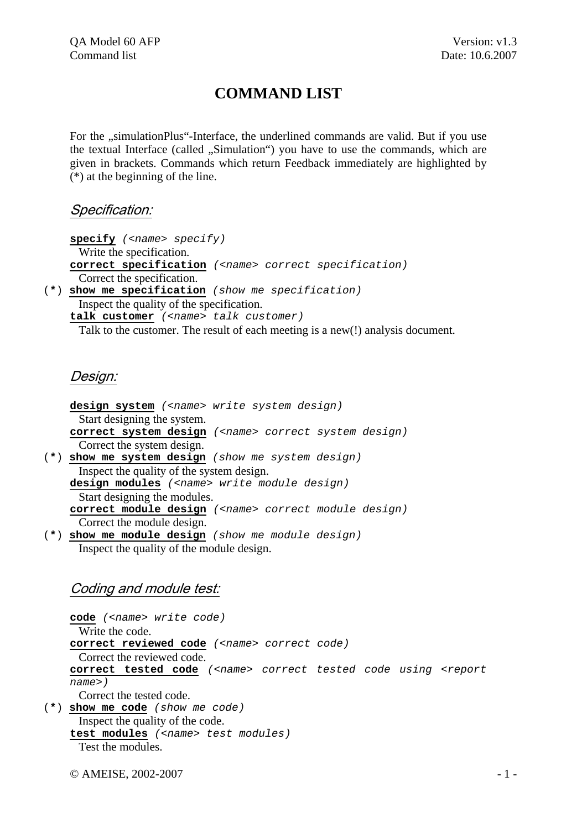# **COMMAND LIST**

For the "simulationPlus"-Interface, the underlined commands are valid. But if you use the textual Interface (called ., Simulation") you have to use the commands, which are given in brackets. Commands which return Feedback immediately are highlighted by (\*) at the beginning of the line.

## Specification:

**specify** *(<name> specify)* Write the specification. **correct specification** *(<name> correct specification)* Correct the specification. (**\***) **show me specification** *(show me specification)* Inspect the quality of the specification. **talk customer** *(<name> talk customer)*

Talk to the customer. The result of each meeting is a new(!) analysis document.

## Design:

**design system** *(<name> write system design)* Start designing the system. **correct system design** *(<name> correct system design)* Correct the system design. (**\***) **show me system design** *(show me system design)* Inspect the quality of the system design. **design modules** *(<name> write module design)* Start designing the modules. **correct module design** *(<name> correct module design)* Correct the module design. (**\***) **show me module design** *(show me module design)* 

Inspect the quality of the module design.

# Coding and module test:

**code** *(<name> write code)* Write the code. **correct reviewed code** *(<name> correct code)* Correct the reviewed code. **correct tested code** *(<name> correct tested code using <report name>)*  Correct the tested code. (**\***) **show me code** *(show me code)*  Inspect the quality of the code.

**test modules** *(<name> test modules)* Test the modules.

 $\odot$  AMEISE, 2002-2007  $-1$  -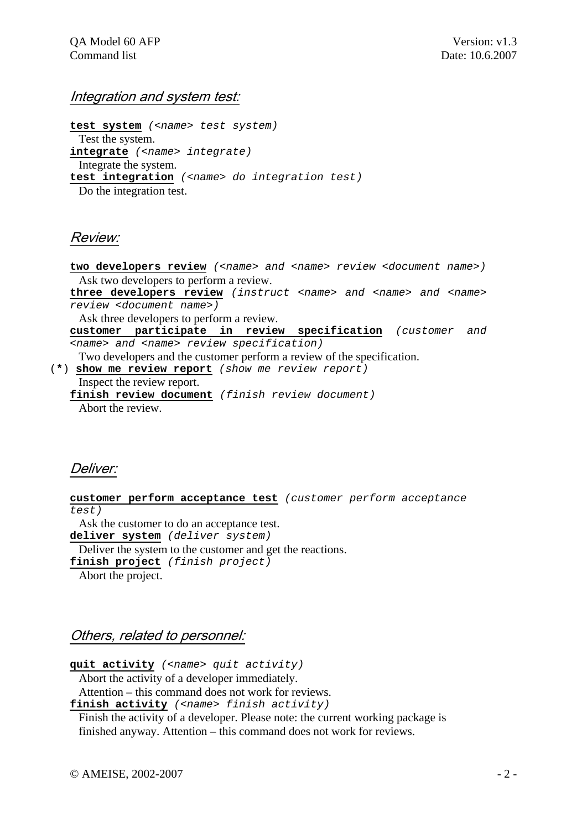#### Integration and system test:

**test system** *(<name> test system)* Test the system. **integrate** *(<name> integrate)* Integrate the system. **test integration** *(<name> do integration test)* Do the integration test.

## Review:

two developers review (<name> and <name> review <document name>) Ask two developers to perform a review.

**three developers review** *(instruct <name> and <name> and <name> review <document name>)* 

Ask three developers to perform a review.

**customer participate in review specification** *(customer and <name> and <name> review specification)* 

Two developers and the customer perform a review of the specification.

 (**\***) **show me review report** *(show me review report)* Inspect the review report. **finish review document** *(finish review document)* 

Abort the review.

# Deliver:

**customer perform acceptance test** *(customer perform acceptance test)*

Ask the customer to do an acceptance test.

**deliver system** *(deliver system)*

Deliver the system to the customer and get the reactions.

**finish project** *(finish project)*

Abort the project.

## Others, related to personnel:

**quit activity** *(<name> quit activity)*

Abort the activity of a developer immediately.

Attention – this command does not work for reviews.

**finish activity** *(<name> finish activity)* 

 Finish the activity of a developer. Please note: the current working package is finished anyway. Attention – this command does not work for reviews.